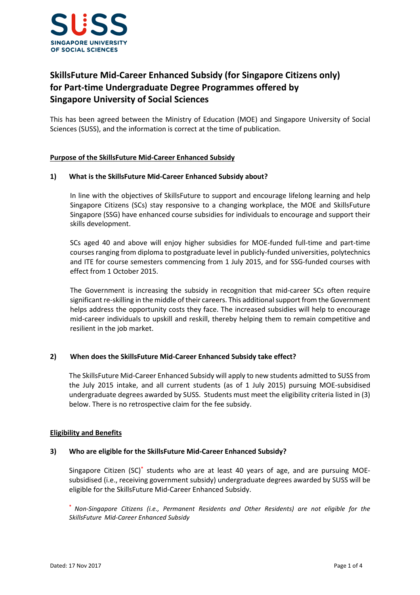

# SkillsFuture Mid-Career Enhanced Subsidy (for Singapore Citizens only) for Part-time Undergraduate Degree Programmes offered by Singapore University of Social Sciences

This has been agreed between the Ministry of Education (MOE) and Singapore University of Social Sciences (SUSS), and the information is correct at the time of publication.

## Purpose of the SkillsFuture Mid-Career Enhanced Subsidy

#### 1) What is the SkillsFuture Mid-Career Enhanced Subsidy about?

In line with the objectives of SkillsFuture to support and encourage lifelong learning and help Singapore Citizens (SCs) stay responsive to a changing workplace, the MOE and SkillsFuture Singapore (SSG) have enhanced course subsidies for individuals to encourage and support their skills development.

SCs aged 40 and above will enjoy higher subsidies for MOE-funded full-time and part-time courses ranging from diploma to postgraduate level in publicly-funded universities, polytechnics and ITE for course semesters commencing from 1 July 2015, and for SSG-funded courses with effect from 1 October 2015.

The Government is increasing the subsidy in recognition that mid-career SCs often require significant re-skilling in the middle of their careers. This additional support from the Government helps address the opportunity costs they face. The increased subsidies will help to encourage mid-career individuals to upskill and reskill, thereby helping them to remain competitive and resilient in the job market.

#### 2) When does the SkillsFuture Mid-Career Enhanced Subsidy take effect?

The SkillsFuture Mid-Career Enhanced Subsidy will apply to new students admitted to SUSS from the July 2015 intake, and all current students (as of 1 July 2015) pursuing MOE-subsidised undergraduate degrees awarded by SUSS. Students must meet the eligibility criteria listed in (3) below. There is no retrospective claim for the fee subsidy.

#### Eligibility and Benefits

#### 3) Who are eligible for the SkillsFuture Mid-Career Enhanced Subsidy?

Singapore Citizen (SC)<sup>\*</sup> students who are at least 40 years of age, and are pursuing MOEsubsidised (i.e., receiving government subsidy) undergraduate degrees awarded by SUSS will be eligible for the SkillsFuture Mid-Career Enhanced Subsidy.

\* Non-Singapore Citizens (i.e., Permanent Residents and Other Residents) are not eligible for the SkillsFuture Mid-Career Enhanced Subsidy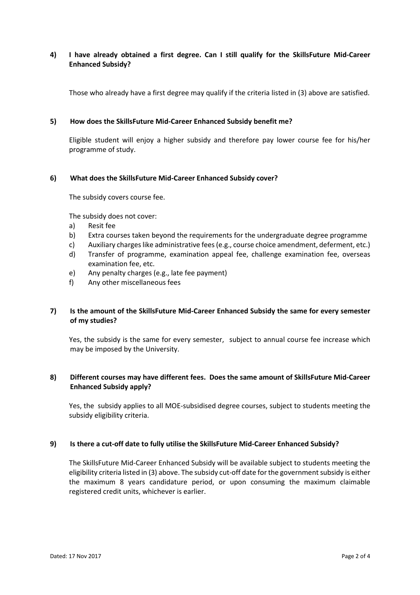## 4) I have already obtained a first degree. Can I still qualify for the SkillsFuture Mid-Career Enhanced Subsidy?

Those who already have a first degree may qualify if the criteria listed in (3) above are satisfied.

#### 5) How does the SkillsFuture Mid-Career Enhanced Subsidy benefit me?

Eligible student will enjoy a higher subsidy and therefore pay lower course fee for his/her programme of study.

#### 6) What does the SkillsFuture Mid-Career Enhanced Subsidy cover?

The subsidy covers course fee.

The subsidy does not cover:

- a) Resit fee
- b) Extra courses taken beyond the requirements for the undergraduate degree programme
- c) Auxiliary charges like administrative fees (e.g., course choice amendment, deferment, etc.)
- d) Transfer of programme, examination appeal fee, challenge examination fee, overseas examination fee, etc.
- e) Any penalty charges (e.g., late fee payment)
- f) Any other miscellaneous fees

## 7) Is the amount of the SkillsFuture Mid-Career Enhanced Subsidy the same for every semester of my studies?

Yes, the subsidy is the same for every semester, subject to annual course fee increase which may be imposed by the University.

## 8) Different courses may have different fees. Does the same amount of SkillsFuture Mid-Career Enhanced Subsidy apply?

Yes, the subsidy applies to all MOE-subsidised degree courses, subject to students meeting the subsidy eligibility criteria.

#### 9) Is there a cut-off date to fully utilise the SkillsFuture Mid-Career Enhanced Subsidy?

The SkillsFuture Mid-Career Enhanced Subsidy will be available subject to students meeting the eligibility criteria listed in (3) above. The subsidy cut-off date for the government subsidy is either the maximum 8 years candidature period, or upon consuming the maximum claimable registered credit units, whichever is earlier.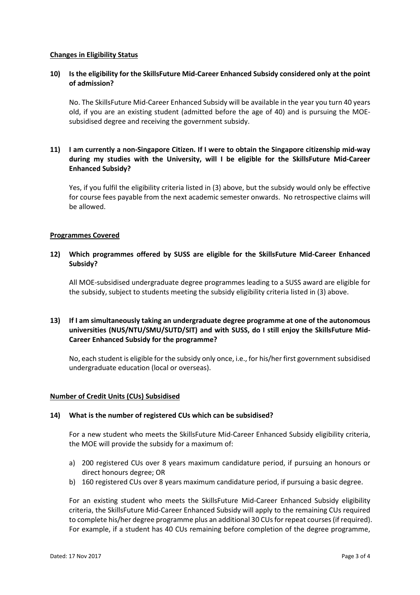#### Changes in Eligibility Status

#### 10) Is the eligibility for the SkillsFuture Mid-Career Enhanced Subsidy considered only at the point of admission?

No. The SkillsFuture Mid-Career Enhanced Subsidy will be available in the year you turn 40 years old, if you are an existing student (admitted before the age of 40) and is pursuing the MOEsubsidised degree and receiving the government subsidy.

# 11) I am currently a non-Singapore Citizen. If I were to obtain the Singapore citizenship mid-way during my studies with the University, will I be eligible for the SkillsFuture Mid-Career Enhanced Subsidy?

Yes, if you fulfil the eligibility criteria listed in (3) above, but the subsidy would only be effective for course fees payable from the next academic semester onwards. No retrospective claims will be allowed.

#### Programmes Covered

#### 12) Which programmes offered by SUSS are eligible for the SkillsFuture Mid-Career Enhanced Subsidy?

All MOE-subsidised undergraduate degree programmes leading to a SUSS award are eligible for the subsidy, subject to students meeting the subsidy eligibility criteria listed in (3) above.

# 13) If I am simultaneously taking an undergraduate degree programme at one of the autonomous universities (NUS/NTU/SMU/SUTD/SIT) and with SUSS, do I still enjoy the SkillsFuture Mid-Career Enhanced Subsidy for the programme?

No, each student is eligible for the subsidy only once, i.e., for his/her first government subsidised undergraduate education (local or overseas).

#### Number of Credit Units (CUs) Subsidised

#### 14) What is the number of registered CUs which can be subsidised?

For a new student who meets the SkillsFuture Mid-Career Enhanced Subsidy eligibility criteria, the MOE will provide the subsidy for a maximum of:

- a) 200 registered CUs over 8 years maximum candidature period, if pursuing an honours or direct honours degree; OR
- b) 160 registered CUs over 8 years maximum candidature period, if pursuing a basic degree.

For an existing student who meets the SkillsFuture Mid-Career Enhanced Subsidy eligibility criteria, the SkillsFuture Mid-Career Enhanced Subsidy will apply to the remaining CUs required to complete his/her degree programme plus an additional 30 CUs for repeat courses (if required). For example, if a student has 40 CUs remaining before completion of the degree programme,